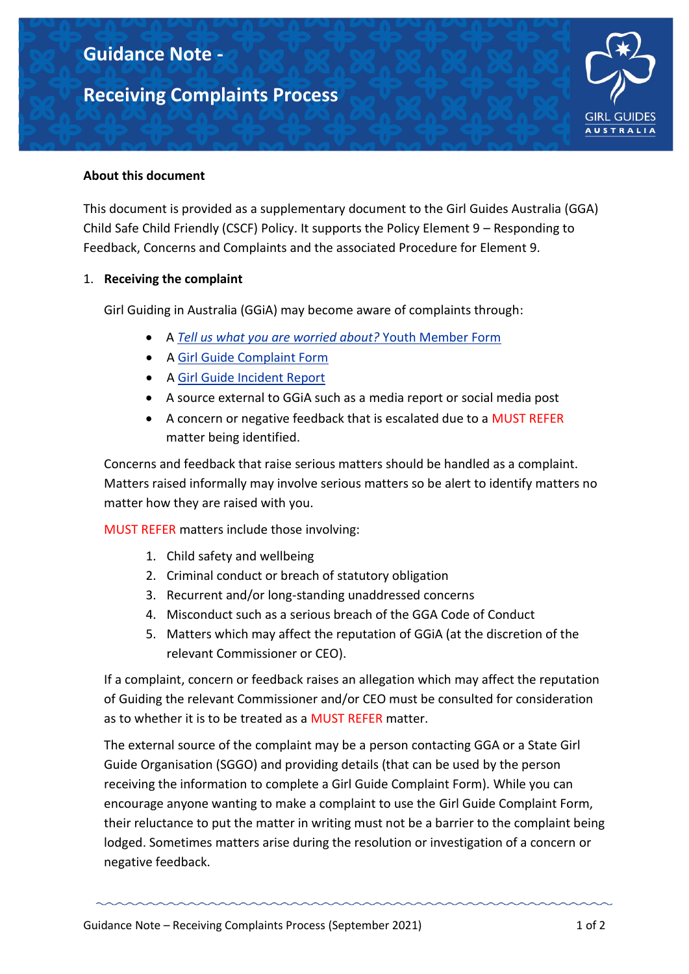# **Guidance Note -**

## **Receiving Complaints Process**



#### **About this document**

This document is provided as a supplementary document to the Girl Guides Australia (GGA) Child Safe Child Friendly (CSCF) Policy. It supports the Policy Element 9 – Responding to Feedback, Concerns and Complaints and the associated Procedure for Element 9.

#### 1. **Receiving the complaint**

Girl Guiding in Australia (GGiA) may become aware of complaints through:

- A *[Tell us what you are worried about?](https://www.guidelinesforgirlguides.org.au/forms/)* Youth Member Form
- A [Girl Guide Complaint Form](https://www.guidelinesforgirlguides.org.au/forms/)
- A [Girl Guide Incident Report](https://www.guidelinesforgirlguides.org.au/forms/)
- A source external to GGiA such as a media report or social media post
- A concern or negative feedback that is escalated due to a MUST REFER matter being identified.

Concerns and feedback that raise serious matters should be handled as a complaint. Matters raised informally may involve serious matters so be alert to identify matters no matter how they are raised with you.

MUST REFER matters include those involving:

- 1. Child safety and wellbeing
- 2. Criminal conduct or breach of statutory obligation
- 3. Recurrent and/or long-standing unaddressed concerns
- 4. Misconduct such as a serious breach of the GGA Code of Conduct
- 5. Matters which may affect the reputation of GGiA (at the discretion of the relevant Commissioner or CEO).

If a complaint, concern or feedback raises an allegation which may affect the reputation of Guiding the relevant Commissioner and/or CEO must be consulted for consideration as to whether it is to be treated as a MUST REFER matter.

The external source of the complaint may be a person contacting GGA or a State Girl Guide Organisation (SGGO) and providing details (that can be used by the person receiving the information to complete a Girl Guide Complaint Form). While you can encourage anyone wanting to make a complaint to use the Girl Guide Complaint Form, their reluctance to put the matter in writing must not be a barrier to the complaint being lodged. Sometimes matters arise during the resolution or investigation of a concern or negative feedback.